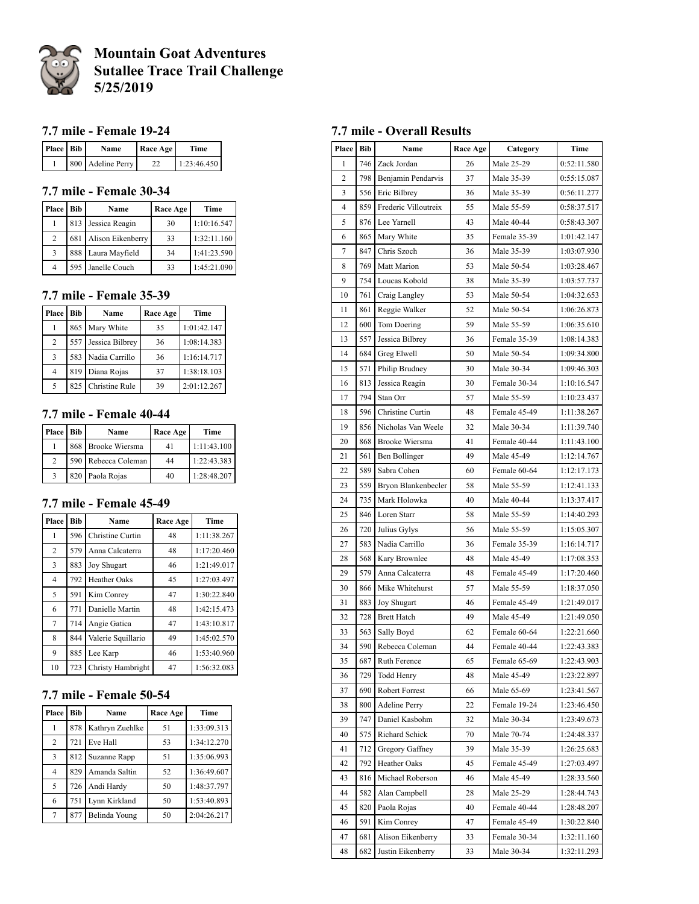

# **Mountain Goat Adventures Sutallee Trace Trail Challenge 5/25/2019**

## **7.7 mile - Female 19-24**

| Place Bib | Name              | Race Age | Time        |
|-----------|-------------------|----------|-------------|
|           | 800 Adeline Perry |          | 1:23:46.450 |

## **7.7 mile - Female 30-34**

| <b>Place</b>   | Bib | Name               | Race Age | Time        |
|----------------|-----|--------------------|----------|-------------|
|                | 813 | Jessica Reagin     | 30       | 1:10:16.547 |
| 2              | 681 | Alison Eikenberry  | 33       | 1:32:11.160 |
| 3              |     | 888 Laura Mayfield | 34       | 1:41:23.590 |
| $\overline{4}$ |     | 595 Janelle Couch  | 33       | 1:45:21.090 |

## **7.7 mile - Female 35-39**

| Place          | Bib | Name               | Race Age | Time        |
|----------------|-----|--------------------|----------|-------------|
|                |     | 865 Mary White     | 35       | 1:01:42.147 |
| 2              | 557 | Jessica Bilbrey    | 36       | 1:08:14.383 |
| 3              |     | 583 Nadia Carrillo | 36       | 1:16:14.717 |
| $\overline{4}$ | 819 | Diana Rojas        | 37       | 1:38:18.103 |
| 5              | 825 | Christine Rule     | 39       | 2:01:12.267 |

## **7.7 mile - Female 40-44**

| Place         | Bib | Name                | Race Age | Time        |
|---------------|-----|---------------------|----------|-------------|
|               |     | 868 Brooke Wiersma  | 41       | 1:11:43.100 |
| $\mathcal{L}$ |     | 590 Rebecca Coleman | 44       | 1:22:43.383 |
|               |     | 820 Paola Rojas     | 40       | 1:28:48.207 |

### **7.7 mile - Female 45-49**

| Place          | <b>Bib</b> | Name               | Race Age | <b>Time</b> |
|----------------|------------|--------------------|----------|-------------|
| 1              | 596        | Christine Curtin   | 48       | 1:11:38.267 |
| 2              | 579        | Anna Calcaterra    | 48       | 1:17:20.460 |
| 3              | 883        | <b>Joy Shugart</b> | 46       | 1:21:49.017 |
| $\overline{4}$ | 792        | Heather Oaks       | 45       | 1:27:03.497 |
| 5              | 591        | Kim Conrey         | 47       | 1:30:22.840 |
| 6              | 771        | Danielle Martin    | 48       | 1:42:15.473 |
| 7              | 714        | Angie Gatica       | 47       | 1:43:10.817 |
| 8              | 844        | Valerie Squillario | 49       | 1:45:02.570 |
| 9              | 885        | Lee Karp           | 46       | 1:53:40.960 |
| 10             | 723        | Christy Hambright  | 47       | 1:56:32.083 |

## **7.7 mile - Female 50-54**

| Place          | <b>Bib</b> | Name            | Race Age | Time        |
|----------------|------------|-----------------|----------|-------------|
|                | 878        | Kathryn Zuehlke | 51       | 1:33:09.313 |
| $\overline{c}$ | 721        | Eve Hall        | 53       | 1:34:12.270 |
| 3              | 812        | Suzanne Rapp    | 51       | 1:35:06.993 |
| 4              | 829        | Amanda Saltin   | 52       | 1:36:49.607 |
| 5              | 726        | Andi Hardy      | 50       | 1:48:37.797 |
| 6              | 751        | Lynn Kirkland   | 50       | 1:53:40.893 |
|                | 877        | Belinda Young   | 50       | 2:04:26.217 |

## **7.7 mile - Overall Results**

| Place | Bib | <b>Race Age</b><br>Name |    | Category     | Time        |
|-------|-----|-------------------------|----|--------------|-------------|
| 1     | 746 | Zack Jordan             | 26 | Male 25-29   | 0:52:11.580 |
| 2     | 798 | Benjamin Pendarvis      | 37 | Male 35-39   | 0:55:15.087 |
| 3     | 556 | Eric Bilbrey            | 36 | Male 35-39   | 0:56:11.277 |
| 4     | 859 | Frederic Villoutreix    | 55 | Male 55-59   | 0:58:37.517 |
| 5     | 876 | Lee Yarnell             | 43 | Male 40-44   | 0:58:43.307 |
| 6     | 865 | Mary White              | 35 | Female 35-39 | 1:01:42.147 |
| 7     | 847 | Chris Szoch             | 36 | Male 35-39   | 1:03:07.930 |
| 8     | 769 | Matt Marion             | 53 | Male 50-54   | 1:03:28.467 |
| 9     | 754 | Loucas Kobold           | 38 | Male 35-39   | 1:03:57.737 |
| 10    | 761 | Craig Langley           | 53 | Male 50-54   | 1:04:32.653 |
| 11    | 861 | Reggie Walker           | 52 | Male 50-54   | 1:06:26.873 |
| 12    | 600 | Tom Doering             | 59 | Male 55-59   | 1:06:35.610 |
| 13    | 557 | Jessica Bilbrey         | 36 | Female 35-39 | 1:08:14.383 |
| 14    | 684 | Greg Elwell             | 50 | Male 50-54   | 1:09:34.800 |
| 15    | 571 | Philip Brudney          | 30 | Male 30-34   | 1:09:46.303 |
| 16    | 813 | Jessica Reagin          | 30 | Female 30-34 | 1:10:16.547 |
| 17    | 794 | Stan Orr                | 57 | Male 55-59   | 1:10:23.437 |
| 18    | 596 | Christine Curtin        | 48 | Female 45-49 | 1:11:38.267 |
| 19    | 856 | Nicholas Van Weele      | 32 | Male 30-34   | 1:11:39.740 |
| 20    | 868 | Brooke Wiersma          | 41 | Female 40-44 | 1:11:43.100 |
| 21    | 561 | Ben Bollinger           | 49 | Male 45-49   | 1:12:14.767 |
| 22    | 589 | Sabra Cohen             | 60 | Female 60-64 | 1:12:17.173 |
| 23    | 559 | Bryon Blankenbecler     | 58 | Male 55-59   | 1:12:41.133 |
| 24    | 735 | Mark Holowka            | 40 | Male 40-44   | 1:13:37.417 |
| 25    | 846 | Loren Starr             | 58 | Male 55-59   | 1:14:40.293 |
| 26    | 720 | Julius Gylys            | 56 | Male 55-59   | 1:15:05.307 |
| 27    | 583 | Nadia Carrillo          | 36 | Female 35-39 | 1:16:14.717 |
| 28    | 568 | Kary Brownlee           | 48 | Male 45-49   | 1:17:08.353 |
| 29    | 579 | Anna Calcaterra         | 48 | Female 45-49 | 1:17:20.460 |
| 30    | 866 | Mike Whitehurst         | 57 | Male 55-59   | 1:18:37.050 |
| 31    | 883 | Joy Shugart             | 46 | Female 45-49 | 1:21:49.017 |
| 32    | 728 | <b>Brett Hatch</b>      | 49 | Male 45-49   | 1:21:49.050 |
| 33    | 563 | Sally Boyd              | 62 | Female 60-64 | 1:22:21.660 |
| 34    | 590 | Rebecca Coleman         | 44 | Female 40-44 | 1:22:43.383 |
| 35    | 687 | Ruth Ference            | 65 | Female 65-69 | 1:22:43.903 |
| 36    | 729 | <b>Todd Henry</b>       | 48 | Male 45-49   | 1:23:22.897 |
| 37    | 690 | Robert Forrest          | 66 | Male 65-69   | 1:23:41.567 |
| 38    | 800 | <b>Adeline Perry</b>    | 22 | Female 19-24 | 1:23:46.450 |
| 39    | 747 | Daniel Kasbohm          | 32 | Male 30-34   | 1:23:49.673 |
| 40    | 575 | Richard Schick          | 70 | Male 70-74   | 1:24:48.337 |
| 41    | 712 | Gregory Gaffney         | 39 | Male 35-39   | 1:26:25.683 |
| 42    | 792 | Heather Oaks            | 45 | Female 45-49 | 1:27:03.497 |
| 43    | 816 | Michael Roberson        | 46 | Male 45-49   | 1:28:33.560 |
| 44    | 582 | Alan Campbell           | 28 | Male 25-29   | 1:28:44.743 |
| 45    | 820 | Paola Rojas             | 40 | Female 40-44 | 1:28:48.207 |
| 46    | 591 | Kim Conrey              | 47 | Female 45-49 | 1:30:22.840 |
| 47    | 681 | Alison Eikenberry       | 33 | Female 30-34 | 1:32:11.160 |
| 48    | 682 | Justin Eikenberry       | 33 | Male 30-34   | 1:32:11.293 |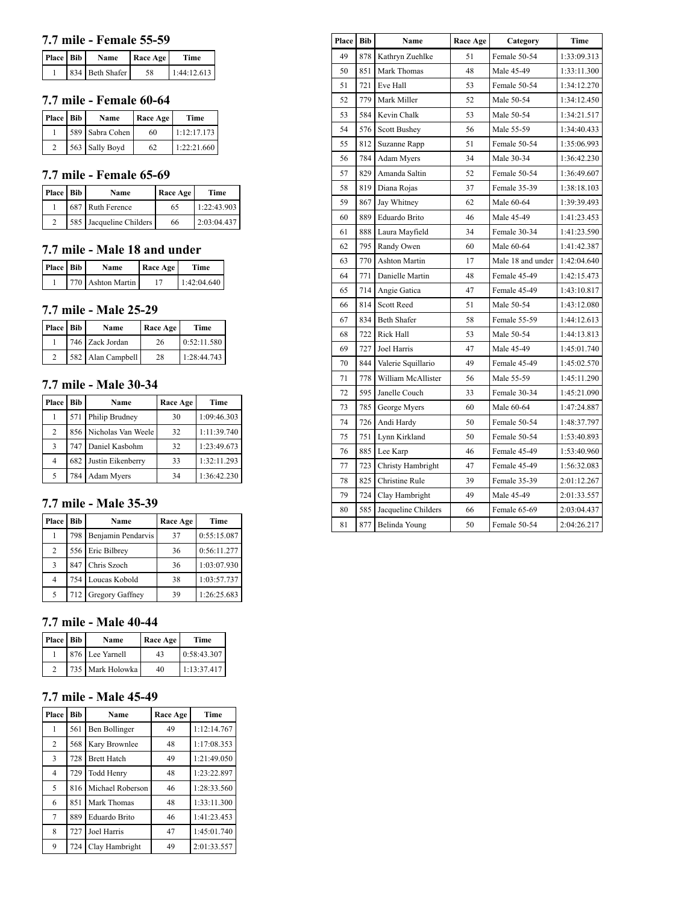## **7.7 mile - Female 55-59**

| Place Bib | Name            | <b>Race Age</b> | <b>Time</b> |
|-----------|-----------------|-----------------|-------------|
|           | 834 Beth Shafer | 58              | 1:44:12.613 |

## **7.7 mile - Female 60-64**

| Place Bib | Name            | <b>Race Age</b> | Time        |
|-----------|-----------------|-----------------|-------------|
|           | 589 Sabra Cohen | 60              | 1:12:17.173 |
|           | 563 Sally Boyd  | 62              | 1:22:21.660 |

### **7.7 mile - Female 65-69**

| Place Bib | Name                    | Race Age | Time        |
|-----------|-------------------------|----------|-------------|
|           | 687 Ruth Ference        | 65       | 1:22:43.903 |
|           | 585 Jacqueline Childers | 66       | 2:03:04.437 |

## **7.7 mile - Male 18 and under**

| Place Bib | Name              | Race Age | Time        |
|-----------|-------------------|----------|-------------|
|           | 770 Ashton Martin |          | 1:42:04.640 |

#### **7.7 mile - Male 25-29**

| Place Bib | Name              | Race Age | Time        |
|-----------|-------------------|----------|-------------|
|           | 746 Zack Jordan   | 26       | 0:52:11.580 |
|           | 582 Alan Campbell | 28       | 1:28:44.743 |

### **7.7 mile - Male 30-34**

| Place          | <b>Bib</b> | Name                   | Race Age | Time        |
|----------------|------------|------------------------|----------|-------------|
|                | 571        | Philip Brudney         | 30       | 1:09:46.303 |
| $\overline{2}$ |            | 856 Nicholas Van Weele | 32       | 1:11:39.740 |
| 3              |            | 747 Daniel Kasbohm     | 32       | 1:23:49.673 |
| 4              |            | 682 Justin Eikenberry  | 33       | 1:32:11.293 |
| 5              | 784        | Adam Myers             | 34       | 1:36:42.230 |

#### **7.7 mile - Male 35-39**

| Place | Bib | Name               | Race Age | Time        |
|-------|-----|--------------------|----------|-------------|
|       | 798 | Benjamin Pendarvis | 37       | 0:55:15.087 |
| 2     |     | 556 Eric Bilbrey   | 36       | 0:56:11.277 |
| 3     | 847 | Chris Szoch        | 36       | 1:03:07.930 |
| 4     |     | 754 Loucas Kobold  | 38       | 1:03:57.737 |
| 5     | 712 | Gregory Gaffney    | 39       | 1:26:25.683 |

#### **7.7 mile - Male 40-44**

| Place Bib | Name             | Race Age | Time        |
|-----------|------------------|----------|-------------|
|           | 876 Lee Yarnell  | 43       | 0:58:43.307 |
|           | 735 Mark Holowka | 40       | 1:13:37.417 |

### **7.7 mile - Male 45-49**

| Place          | <b>Bib</b> | Name               | Race Age | Time        |
|----------------|------------|--------------------|----------|-------------|
| 1              | 561        | Ben Bollinger      | 49       | 1:12:14.767 |
| 2              | 568        | Kary Brownlee      | 48       | 1:17:08.353 |
| 3              | 728        | <b>Brett Hatch</b> | 49       | 1:21:49.050 |
| $\overline{4}$ | 729        | Todd Henry         | 48       | 1:23:22.897 |
| 5              | 816        | Michael Roberson   | 46       | 1:28:33.560 |
| 6              | 851        | Mark Thomas        | 48       | 1:33:11.300 |
| 7              | 889        | Eduardo Brito      | 46       | 1:41:23.453 |
| 8              | 727        | Joel Harris        | 47       | 1:45:01.740 |
| 9              | 724        | Clay Hambright     | 49       | 2:01:33.557 |

| Place | Bib | Name                 | Race Age | Category          | Time        |
|-------|-----|----------------------|----------|-------------------|-------------|
| 49    | 878 | Kathryn Zuehlke      | 51       | Female 50-54      | 1:33:09.313 |
| 50    | 851 | Mark Thomas          | 48       | Male 45-49        | 1:33:11.300 |
| 51    | 721 | Eve Hall             | 53       | Female 50-54      | 1:34:12.270 |
| 52    | 779 | Mark Miller          | 52       | Male 50-54        | 1:34:12.450 |
| 53    | 584 | Kevin Chalk          | 53       | Male 50-54        | 1:34:21.517 |
| 54    | 576 | Scott Bushey         | 56       | Male 55-59        | 1:34:40.433 |
| 55    | 812 | Suzanne Rapp         | 51       | Female 50-54      | 1:35:06.993 |
| 56    | 784 | Adam Myers           | 34       | Male 30-34        | 1:36:42.230 |
| 57    | 829 | Amanda Saltin        | 52       | Female 50-54      | 1:36:49.607 |
| 58    | 819 | Diana Rojas          | 37       | Female 35-39      | 1:38:18.103 |
| 59    | 867 | Jay Whitney          | 62       | Male 60-64        | 1:39:39.493 |
| 60    | 889 | Eduardo Brito        | 46       | Male 45-49        | 1:41:23.453 |
| 61    | 888 | Laura Mayfield       | 34       | Female 30-34      | 1:41:23.590 |
| 62    | 795 | Randy Owen           | 60       | Male 60-64        | 1:41:42.387 |
| 63    | 770 | <b>Ashton Martin</b> | 17       | Male 18 and under | 1:42:04.640 |
| 64    | 771 | Danielle Martin      | 48       | Female 45-49      | 1:42:15.473 |
| 65    | 714 | Angie Gatica         | 47       | Female 45-49      | 1:43:10.817 |
| 66    | 814 | Scott Reed           | 51       | Male 50-54        | 1:43:12.080 |
| 67    | 834 | <b>Beth Shafer</b>   | 58       | Female 55-59      | 1:44:12.613 |
| 68    | 722 | Rick Hall            | 53       | Male 50-54        | 1:44:13.813 |
| 69    | 727 | Joel Harris          | 47       | Male 45-49        | 1:45:01.740 |
| 70    | 844 | Valerie Squillario   | 49       | Female 45-49      | 1:45:02.570 |
| 71    | 778 | William McAllister   | 56       | Male 55-59        | 1:45:11.290 |
| 72    | 595 | Janelle Couch        | 33       | Female 30-34      | 1:45:21.090 |
| 73    | 785 | George Myers         | 60       | Male 60-64        | 1:47:24.887 |
| 74    | 726 | Andi Hardy           | 50       | Female 50-54      | 1:48:37.797 |
| 75    | 751 | Lynn Kirkland        | 50       | Female 50-54      | 1:53:40.893 |
| 76    | 885 | Lee Karp             | 46       | Female 45-49      | 1:53:40.960 |
| 77    | 723 | Christy Hambright    | 47       | Female 45-49      | 1:56:32.083 |
| 78    | 825 | Christine Rule       | 39       | Female 35-39      | 2:01:12.267 |
| 79    | 724 | Clay Hambright       | 49       | Male 45-49        | 2:01:33.557 |
| 80    | 585 | Jacqueline Childers  | 66       | Female 65-69      | 2:03:04.437 |
| 81    | 877 | Belinda Young        | 50       | Female 50-54      | 2:04:26.217 |